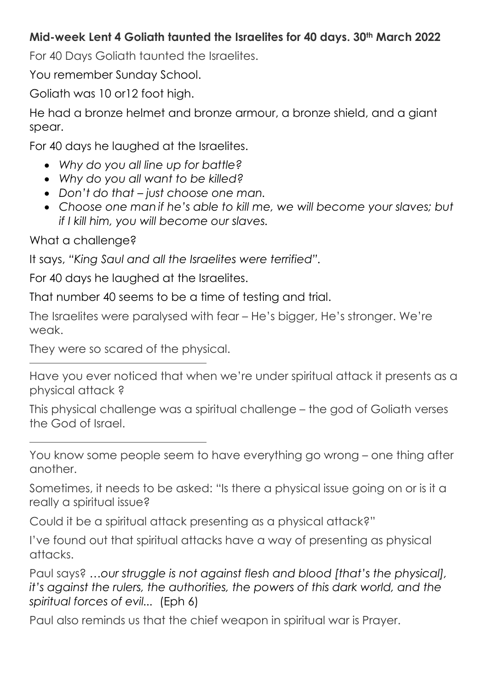## **Mid-week Lent 4 Goliath taunted the Israelites for 40 days. 30th March 2022**

For 40 Days Goliath taunted the Israelites.

You remember Sunday School.

Goliath was 10 or12 foot high.

He had a bronze helmet and bronze armour, a bronze shield, and a giant spear.

For 40 days he laughed at the Israelites.

- *Why do you all line up for battle?*
- *Why do you all want to be killed?*
- *Don't do that just choose one man.*
- *Choose one man if he's able to kill me, we will become your slaves; but if I kill him, you will become our slaves.*

What a challenge?

It says, *"King Saul and all the Israelites were terrified".*

For 40 days he laughed at the Israelites.

That number 40 seems to be a time of testing and trial.

The Israelites were paralysed with fear – He's bigger, He's stronger. We're weak.

They were so scared of the physical.

Have you ever noticed that when we're under spiritual attack it presents as a physical attack ?

This physical challenge was a spiritual challenge – the god of Goliath verses the God of Israel.

You know some people seem to have everything go wrong – one thing after another.

Sometimes, it needs to be asked: "Is there a physical issue going on or is it a really a spiritual issue?

Could it be a spiritual attack presenting as a physical attack?"

I've found out that spiritual attacks have a way of presenting as physical attacks.

Paul says? *…our struggle is not against flesh and blood [that's the physical], it's against the rulers, the authorities, the powers of this dark world, and the spiritual forces of evil...* (Eph 6)

Paul also reminds us that the chief weapon in spiritual war is Prayer.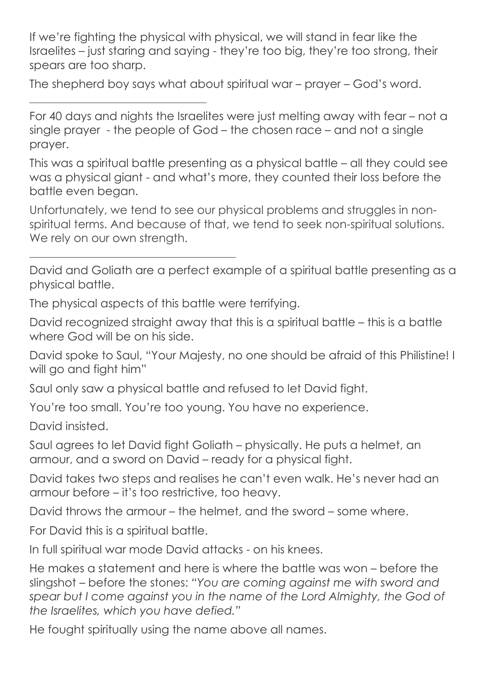If we're fighting the physical with physical, we will stand in fear like the Israelites – just staring and saying - they're too big, they're too strong, their spears are too sharp.

The shepherd boy says what about spiritual war – prayer – God's word.

For 40 days and nights the Israelites were just melting away with fear – not a single prayer - the people of God – the chosen race – and not a single prayer.

This was a spiritual battle presenting as a physical battle – all they could see was a physical giant - and what's more, they counted their loss before the battle even began.

Unfortunately, we tend to see our physical problems and struggles in nonspiritual terms. And because of that, we tend to seek non-spiritual solutions. We rely on our own strength.

David and Goliath are a perfect example of a spiritual battle presenting as a physical battle.

The physical aspects of this battle were terrifying.

David recognized straight away that this is a spiritual battle – this is a battle where God will be on his side.

David spoke to Saul, "Your Majesty, no one should be afraid of this Philistine! I will go and fight him"

Saul only saw a physical battle and refused to let David fight.

You're too small. You're too young. You have no experience.

David insisted.

Saul agrees to let David fight Goliath – physically. He puts a helmet, an armour, and a sword on David – ready for a physical fight.

David takes two steps and realises he can't even walk. He's never had an armour before – it's too restrictive, too heavy.

David throws the armour – the helmet, and the sword – some where.

For David this is a spiritual battle.

In full spiritual war mode David attacks - on his knees.

He makes a statement and here is where the battle was won – before the slingshot – before the stones: *"You are coming against me with sword and spear but I come against you in the name of the Lord Almighty, the God of the Israelites, which you have defied."* 

He fought spiritually using the name above all names.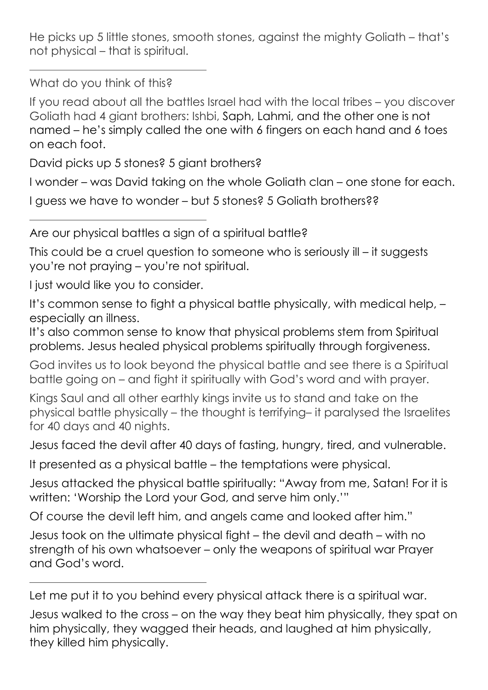He picks up 5 little stones, smooth stones, against the mighty Goliath – that's not physical – that is spiritual.

What do you think of this?

If you read about all the battles Israel had with the local tribes – you discover Goliath had 4 giant brothers: Ishbi, Saph, Lahmi, and the other one is not named – he's simply called the one with 6 fingers on each hand and 6 toes on each foot.

David picks up 5 stones? 5 giant brothers?

I wonder – was David taking on the whole Goliath clan – one stone for each.

I guess we have to wonder – but 5 stones? 5 Goliath brothers??

Are our physical battles a sign of a spiritual battle?

This could be a cruel question to someone who is seriously ill – it suggests you're not praying – you're not spiritual.

I just would like you to consider.

It's common sense to fight a physical battle physically, with medical help, – especially an illness.

It's also common sense to know that physical problems stem from Spiritual problems. Jesus healed physical problems spiritually through forgiveness.

God invites us to look beyond the physical battle and see there is a Spiritual battle going on – and fight it spiritually with God's word and with prayer.

Kings Saul and all other earthly kings invite us to stand and take on the physical battle physically – the thought is terrifying– it paralysed the Israelites for 40 days and 40 nights.

Jesus faced the devil after 40 days of fasting, hungry, tired, and vulnerable.

It presented as a physical battle – the temptations were physical.

Jesus attacked the physical battle spiritually: "Away from me, Satan! For it is written: 'Worship the Lord your God, and serve him only.'"

Of course the devil left him, and angels came and looked after him."

Jesus took on the ultimate physical fight – the devil and death – with no strength of his own whatsoever – only the weapons of spiritual war Prayer and God's word.

Let me put it to you behind every physical attack there is a spiritual war.

Jesus walked to the cross – on the way they beat him physically, they spat on him physically, they wagged their heads, and laughed at him physically, they killed him physically.